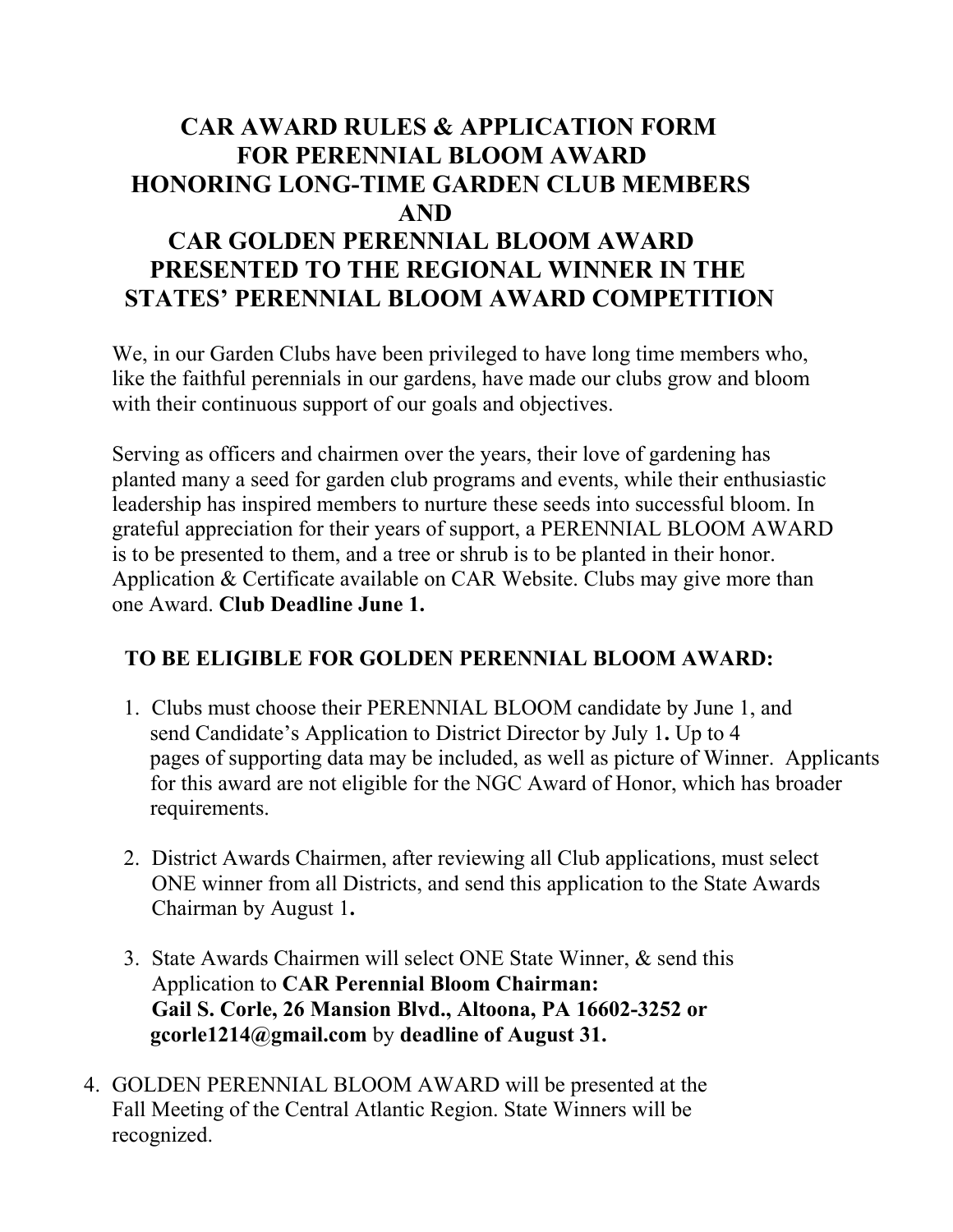## **CAR AWARD RULES & APPLICATION FORM FOR PERENNIAL BLOOM AWARD HONORING LONG-TIME GARDEN CLUB MEMBERS AND CAR GOLDEN PERENNIAL BLOOM AWARD PRESENTED TO THE REGIONAL WINNER IN THE STATES' PERENNIAL BLOOM AWARD COMPETITION**

We, in our Garden Clubs have been privileged to have long time members who, like the faithful perennials in our gardens, have made our clubs grow and bloom with their continuous support of our goals and objectives.

Serving as officers and chairmen over the years, their love of gardening has planted many a seed for garden club programs and events, while their enthusiastic leadership has inspired members to nurture these seeds into successful bloom. In grateful appreciation for their years of support, a PERENNIAL BLOOM AWARD is to be presented to them, and a tree or shrub is to be planted in their honor. Application & Certificate available on CAR Website. Clubs may give more than one Award. **Club Deadline June 1.**

## **TO BE ELIGIBLE FOR GOLDEN PERENNIAL BLOOM AWARD:**

- 1. Clubs must choose their PERENNIAL BLOOM candidate by June 1, and send Candidate's Application to District Director by July 1**.** Up to 4 pages of supporting data may be included, as well as picture of Winner. Applicants for this award are not eligible for the NGC Award of Honor, which has broader requirements.
- 2. District Awards Chairmen, after reviewing all Club applications, must select ONE winner from all Districts, and send this application to the State Awards Chairman by August 1**.**
- 3. State Awards Chairmen will select ONE State Winner, & send this Application to **CAR Perennial Bloom Chairman: Gail S. Corle, 26 Mansion Blvd., Altoona, PA 16602-3252 or gcorle1214@gmail.com** by **deadline of August 31.**
- 4. GOLDEN PERENNIAL BLOOM AWARD will be presented at the Fall Meeting of the Central Atlantic Region. State Winners will be recognized.